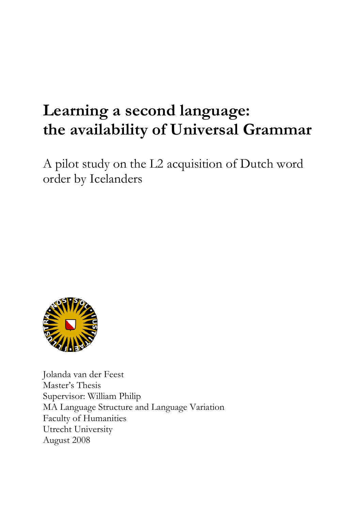# Learning a second language: the availability of Universal Grammar

A pilot study on the L2 acquisition of Dutch word order by Icelanders



Jolanda van der Feest Master's Thesis Supervisor: William Philip MA Language Structure and Language Variation Faculty of Humanities Utrecht University August 2008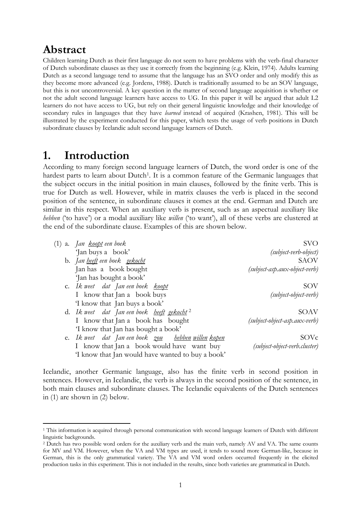# Abstract

 $\overline{a}$ 

Children learning Dutch as their first language do not seem to have problems with the verb-final character of Dutch subordinate clauses as they use it correctly from the beginning (e.g. Klein, 1974). Adults learning Dutch as a second language tend to assume that the language has an SVO order and only modify this as they become more advanced (e.g. Jordens, 1988). Dutch is traditionally assumed to be an SOV language, but this is not uncontroversial. A key question in the matter of second language acquisition is whether or not the adult second language learners have access to UG. In this paper it will be argued that adult L2 learners do not have access to UG, but rely on their general linguistic knowledge and their knowledge of secondary rules in languages that they have *learned* instead of acquired (Krashen, 1981). This will be illustrated by the experiment conducted for this paper, which tests the usage of verb positions in Dutch subordinate clauses by Icelandic adult second language learners of Dutch.

# 1. Introduction

According to many foreign second language learners of Dutch, the word order is one of the hardest parts to learn about Dutch<sup>1</sup>. It is a common feature of the Germanic languages that the subject occurs in the initial position in main clauses, followed by the finite verb. This is true for Dutch as well. However, while in matrix clauses the verb is placed in the second position of the sentence, in subordinate clauses it comes at the end. German and Dutch are similar in this respect. When an auxiliary verb is present, such as an aspectual auxiliary like hebben ('to have') or a modal auxiliary like *willen* ('to want'), all of these verbs are clustered at the end of the subordinate clause. Examples of this are shown below.

| (1) a. Jan <u>koopt</u> een boek                              | SVO                             |
|---------------------------------------------------------------|---------------------------------|
| 'Jan buys a book'                                             | (subject-verb-object)           |
| b. Jan <u>heeft</u> een boek <u>gekocht</u>                   | <b>SAOV</b>                     |
| Jan has a book bought                                         | $(subject-asp.aux-object-verb)$ |
| 'Jan has bought a book'                                       |                                 |
| c. Ik weet dat Jan een boek <u>koopt</u>                      | SOV                             |
| I know that Jan a book buys                                   | (subject-object-verb)           |
| 'I know that Jan buys a book'                                 |                                 |
| d. Ik weet dat Jan een boek <u>heeft gekocht</u> <sup>2</sup> | <b>SOAV</b>                     |
| I know that Jan a book has bought                             | (subject-object-asp.aux-verb)   |
| 'I know that Jan has bought a book'                           |                                 |
| e. Ik weet dat Jan een boek <u>zou bebben willen kopen</u>    | SOVc                            |
| I know that Jan a book would have want buy                    | (subject-object-verb.cluster)   |
| 'I know that Jan would have wanted to buy a book'             |                                 |

Icelandic, another Germanic language, also has the finite verb in second position in sentences. However, in Icelandic, the verb is always in the second position of the sentence, in both main clauses and subordinate clauses. The Icelandic equivalents of the Dutch sentences in (1) are shown in (2) below.

<sup>1</sup> This information is acquired through personal communication with second language learners of Dutch with different linguistic backgrounds.

<sup>2</sup> Dutch has two possible word orders for the auxiliary verb and the main verb, namely AV and VA. The same counts for MV and VM. However, when the VA and VM types are used, it tends to sound more German-like, because in German, this is the only grammatical variety. The VA and VM word orders occurred frequently in the elicited production tasks in this experiment. This is not included in the results, since both varieties are grammatical in Dutch.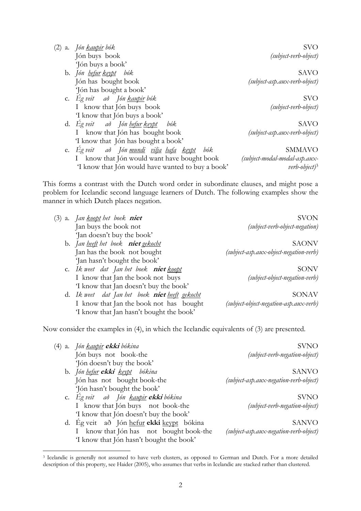| Jón <u>kaupir</u> bók<br>(2)<br>$\mathbf{a}$ .         | <b>SVO</b>                    |
|--------------------------------------------------------|-------------------------------|
| Jón buys book                                          | (subject-verb-object)         |
| Jón buys a book'                                       |                               |
| b. Jón <u>hefur keypt</u> bók                          | SAVO                          |
| Jón has bought book                                    | (subject-asp.aux-verb-object) |
| 'Jón has bought a book'                                |                               |
| c. Eg veit að Jón <u>kaupir</u> bók                    | <b>SVO</b>                    |
| I know that Jón buys book                              | (subject-verb-object)         |
| 'I know that Jón buys a book'                          |                               |
| d. Eg veit að Jón hefur keypt bók                      | SAVO                          |
| know that Jón has bought book                          | (subject-asp.aux-verb-object) |
| 'I know that Jón has bought a book'                    |                               |
| e. Ég veit að Jón <u>mundi vilja hafa keypt</u><br>bók | <b>SMMAVO</b>                 |
| know that Jón would want have bought book              | (subject-modal-modal-asp.aux- |

'I know that Jón would have wanted to buy a book' verb-object)<sup>3</sup>

manner in which Dutch places negation.

 $\overline{a}$ 

This forms a contrast with the Dutch word order in subordinate clauses, and might pose a problem for Icelandic second language learners of Dutch. The following examples show the

| <b>SVON</b>                            | (3) a. Jan <u>koopt</u> het boek <b>niet</b>     |
|----------------------------------------|--------------------------------------------------|
| (subject-verb-object-negation)         | Jan buys the book not                            |
|                                        | 'Jan doesn't buy the book'                       |
| <b>SAONV</b>                           | b. Jan <u>heeft</u> het boek <b>niet</b> gekocht |
| (subject-asp.aux-object-negation-verb) | Jan has the book not bought                      |
|                                        | 'Jan hasn't bought the book'                     |
| SONV                                   | c. Ik weet dat Jan het boek niet koopt           |
| (subject-object-negation-verb)         | I know that Jan the book not buys                |
|                                        | 'I know that Jan doesn't buy the book'           |
| SONAV                                  | d. Ik weet dat Jan het boek niet heeft gekocht   |
| (subject-object-negation-asp.aux-verb) | I know that Jan the book not has bought          |
|                                        | 'I know that Jan hasn't bought the book'         |

Now consider the examples in (4), in which the Icelandic equivalents of (3) are presented.

| (4) a. Jón <u>kaupir</u> <b>ekki</b> bókina | <b>SVNO</b>                            |
|---------------------------------------------|----------------------------------------|
| Jón buys not book-the                       | (subject-verb-negation-object)         |
| 'Jón doesn't buy the book'                  |                                        |
| b. Jón hefur <b>ekki</b> keypt bókina       | <b>SANVO</b>                           |
| Jón has not bought book-the                 | (subject-asp.aux-negation-verb-object) |
| 'Jón hasn't bought the book'                |                                        |
| c. Ég veit að Jón <u>kaupir</u> ekki bókina | <b>SVNO</b>                            |
| I know that Jón buys not book-the           | (subject-verb-negation-object)         |
| 'I know that Jón doesn't buy the book'      |                                        |
| d. Ég veit að Jón hefur ekki keypt bókina   | <b>SANVO</b>                           |
| I know that Jón has not bought book-the     | (subject-asp.aux-negation-verb-object) |
| 'I know that Jón hasn't bought the book'    |                                        |
|                                             |                                        |

<sup>3</sup> Icelandic is generally not assumed to have verb clusters, as opposed to German and Dutch. For a more detailed description of this property, see Haider (2005), who assumes that verbs in Icelandic are stacked rather than clustered.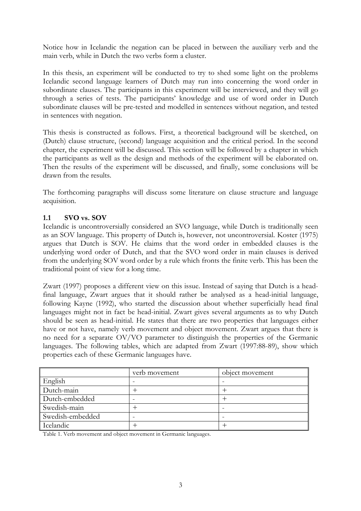Notice how in Icelandic the negation can be placed in between the auxiliary verb and the main verb, while in Dutch the two verbs form a cluster.

In this thesis, an experiment will be conducted to try to shed some light on the problems Icelandic second language learners of Dutch may run into concerning the word order in subordinate clauses. The participants in this experiment will be interviewed, and they will go through a series of tests. The participants' knowledge and use of word order in Dutch subordinate clauses will be pre-tested and modelled in sentences without negation, and tested in sentences with negation.

This thesis is constructed as follows. First, a theoretical background will be sketched, on (Dutch) clause structure, (second) language acquisition and the critical period. In the second chapter, the experiment will be discussed. This section will be followed by a chapter in which the participants as well as the design and methods of the experiment will be elaborated on. Then the results of the experiment will be discussed, and finally, some conclusions will be drawn from the results.

The forthcoming paragraphs will discuss some literature on clause structure and language acquisition.

# 1.1 SVO vs. SOV

Icelandic is uncontroversially considered an SVO language, while Dutch is traditionally seen as an SOV language. This property of Dutch is, however, not uncontroversial. Koster (1975) argues that Dutch is SOV. He claims that the word order in embedded clauses is the underlying word order of Dutch, and that the SVO word order in main clauses is derived from the underlying SOV word order by a rule which fronts the finite verb. This has been the traditional point of view for a long time.

Zwart (1997) proposes a different view on this issue. Instead of saying that Dutch is a headfinal language, Zwart argues that it should rather be analysed as a head-initial language, following Kayne (1992), who started the discussion about whether superficially head final languages might not in fact be head-initial. Zwart gives several arguments as to why Dutch should be seen as head-initial. He states that there are two properties that languages either have or not have, namely verb movement and object movement. Zwart argues that there is no need for a separate OV/VO parameter to distinguish the properties of the Germanic languages. The following tables, which are adapted from Zwart (1997:88-89), show which properties each of these Germanic languages have.

|                  | verb movement | object movement |
|------------------|---------------|-----------------|
| English          |               |                 |
| Dutch-main       |               |                 |
| Dutch-embedded   |               |                 |
| Swedish-main     |               |                 |
| Swedish-embedded |               |                 |
| Icelandic        |               |                 |

Table 1. Verb movement and object movement in Germanic languages.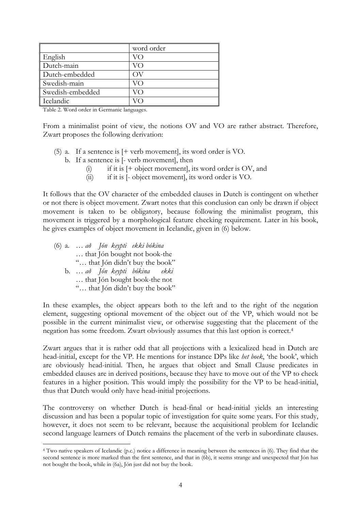|                  | word order |
|------------------|------------|
| English          |            |
| Dutch-main       |            |
| Dutch-embedded   |            |
| Swedish-main     | VO         |
| Swedish-embedded | VO         |
| Icelandic        |            |

Table 2. Word order in Germanic languages.

From a minimalist point of view, the notions OV and VO are rather abstract. Therefore, Zwart proposes the following derivation:

- (5) a. If a sentence is [+ verb movement], its word order is VO.
	- b. If a sentence is [- verb movement], then
		- $(i)$  if it is  $[+$  object movement], its word order is OV, and
		- (ii) if it is [- object movement], its word order is VO.

It follows that the OV character of the embedded clauses in Dutch is contingent on whether or not there is object movement. Zwart notes that this conclusion can only be drawn if object movement is taken to be obligatory, because following the minimalist program, this movement is triggered by a morphological feature checking requirement. Later in his book, he gives examples of object movement in Icelandic, given in (6) below.

(6) a. … að Jón keypti ekki bókina … that Jón bought not book-the "… that Jón didn't buy the book" b. … að Jón keypti bókina ekki … that Jón bought book-the not "… that Jón didn't buy the book"

 $\overline{a}$ 

In these examples, the object appears both to the left and to the right of the negation element, suggesting optional movement of the object out of the VP, which would not be possible in the current minimalist view, or otherwise suggesting that the placement of the negation has some freedom. Zwart obviously assumes that this last option is correct.<sup>4</sup>

Zwart argues that it is rather odd that all projections with a lexicalized head in Dutch are head-initial, except for the VP. He mentions for instance DPs like het boek, 'the book', which are obviously head-initial. Then, he argues that object and Small Clause predicates in embedded clauses are in derived positions, because they have to move out of the VP to check features in a higher position. This would imply the possibility for the VP to be head-initial, thus that Dutch would only have head-initial projections.

The controversy on whether Dutch is head-final or head-initial yields an interesting discussion and has been a popular topic of investigation for quite some years. For this study, however, it does not seem to be relevant, because the acquisitional problem for Icelandic second language learners of Dutch remains the placement of the verb in subordinate clauses.

<sup>4</sup> Two native speakers of Icelandic (p.c.) notice a difference in meaning between the sentences in (6). They find that the second sentence is more marked than the first sentence, and that in (6b), it seems strange and unexpected that Jón has not bought the book, while in (6a), Jón just did not buy the book.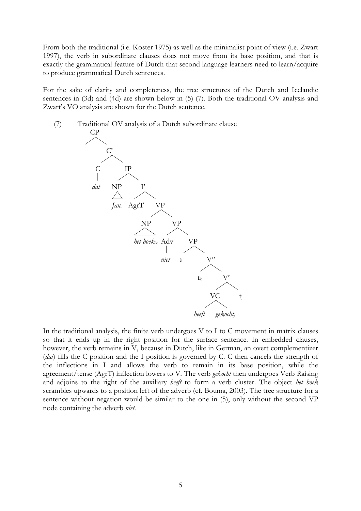From both the traditional (i.e. Koster 1975) as well as the minimalist point of view (i.e. Zwart 1997), the verb in subordinate clauses does not move from its base position, and that is exactly the grammatical feature of Dutch that second language learners need to learn/acquire to produce grammatical Dutch sentences.

For the sake of clarity and completeness, the tree structures of the Dutch and Icelandic sentences in (3d) and (4d) are shown below in (5)-(7). Both the traditional OV analysis and Zwart's VO analysis are shown for the Dutch sentence.



In the traditional analysis, the finite verb undergoes V to I to C movement in matrix clauses so that it ends up in the right position for the surface sentence. In embedded clauses, however, the verb remains in V, because in Dutch, like in German, an overt complementizer (dat) fills the C position and the I position is governed by C. C then cancels the strength of the inflections in I and allows the verb to remain in its base position, while the agreement/tense (AgrT) inflection lowers to V. The verb gekocht then undergoes Verb Raising and adjoins to the right of the auxiliary heeft to form a verb cluster. The object het boek scrambles upwards to a position left of the adverb (cf. Bouma, 2003). The tree structure for a sentence without negation would be similar to the one in (5), only without the second VP node containing the adverb niet.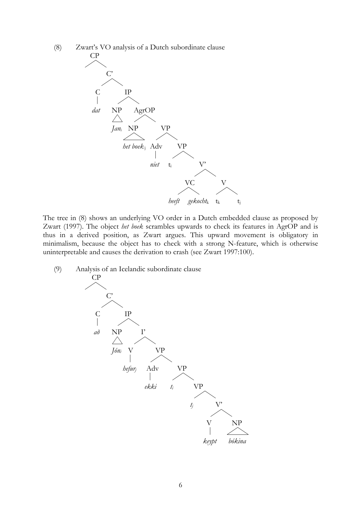(8) Zwart's VO analysis of a Dutch subordinate clause



The tree in (8) shows an underlying VO order in a Dutch embedded clause as proposed by Zwart (1997). The object het boek scrambles upwards to check its features in AgrOP and is thus in a derived position, as Zwart argues. This upward movement is obligatory in minimalism, because the object has to check with a strong N-feature, which is otherwise uninterpretable and causes the derivation to crash (see Zwart 1997:100).

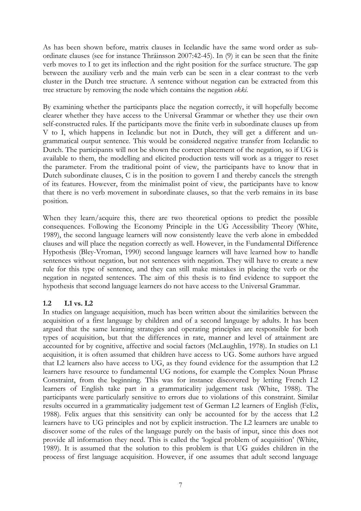As has been shown before, matrix clauses in Icelandic have the same word order as subordinate clauses (see for instance Thráinsson 2007:42-45). In (9) it can be seen that the finite verb moves to I to get its inflection and the right position for the surface structure. The gap between the auxiliary verb and the main verb can be seen in a clear contrast to the verb cluster in the Dutch tree structure. A sentence without negation can be extracted from this tree structure by removing the node which contains the negation ekki.

By examining whether the participants place the negation correctly, it will hopefully become clearer whether they have access to the Universal Grammar or whether they use their own self-constructed rules. If the participants move the finite verb in subordinate clauses up from V to I, which happens in Icelandic but not in Dutch, they will get a different and ungrammatical output sentence. This would be considered negative transfer from Icelandic to Dutch. The participants will not be shown the correct placement of the negation, so if UG is available to them, the modelling and elicited production tests will work as a trigger to reset the parameter. From the traditional point of view, the participants have to know that in Dutch subordinate clauses, C is in the position to govern I and thereby cancels the strength of its features. However, from the minimalist point of view, the participants have to know that there is no verb movement in subordinate clauses, so that the verb remains in its base position.

When they learn/acquire this, there are two theoretical options to predict the possible consequences. Following the Economy Principle in the UG Accessibility Theory (White, 1989), the second language learners will now consistently leave the verb alone in embedded clauses and will place the negation correctly as well. However, in the Fundamental Difference Hypothesis (Bley-Vroman, 1990) second language learners will have learned how to handle sentences without negation, but not sentences with negation. They will have to create a new rule for this type of sentence, and they can still make mistakes in placing the verb or the negation in negated sentences. The aim of this thesis is to find evidence to support the hypothesis that second language learners do not have access to the Universal Grammar.

# 1.2 L1 vs. L2

In studies on language acquisition, much has been written about the similarities between the acquisition of a first language by children and of a second language by adults. It has been argued that the same learning strategies and operating principles are responsible for both types of acquisition, but that the differences in rate, manner and level of attainment are accounted for by cognitive, affective and social factors (McLaughlin, 1978). In studies on L1 acquisition, it is often assumed that children have access to UG. Some authors have argued that L2 learners also have access to UG, as they found evidence for the assumption that L2 learners have resource to fundamental UG notions, for example the Complex Noun Phrase Constraint, from the beginning. This was for instance discovered by letting French L2 learners of English take part in a grammaticality judgement task (White, 1988). The participants were particularly sensitive to errors due to violations of this constraint. Similar results occurred in a grammaticality judgement test of German L2 learners of English (Felix, 1988). Felix argues that this sensitivity can only be accounted for by the access that L2 learners have to UG principles and not by explicit instruction. The L2 learners are unable to discover some of the rules of the language purely on the basis of input, since this does not provide all information they need. This is called the 'logical problem of acquisition' (White, 1989). It is assumed that the solution to this problem is that UG guides children in the process of first language acquisition. However, if one assumes that adult second language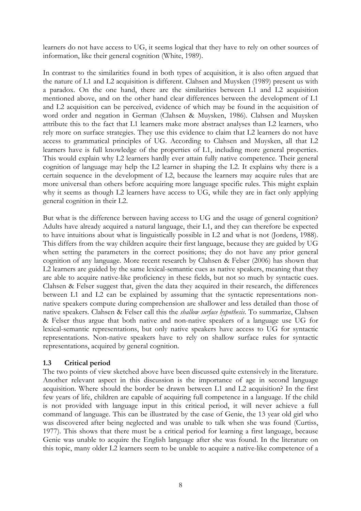learners do not have access to UG, it seems logical that they have to rely on other sources of information, like their general cognition (White, 1989).

In contrast to the similarities found in both types of acquisition, it is also often argued that the nature of L1 and L2 acquisition is different. Clahsen and Muysken (1989) present us with a paradox. On the one hand, there are the similarities between L1 and L2 acquisition mentioned above, and on the other hand clear differences between the development of L1 and L2 acquisition can be perceived, evidence of which may be found in the acquisition of word order and negation in German (Clahsen & Muysken, 1986). Clahsen and Muysken attribute this to the fact that L1 learners make more abstract analyses than L2 learners, who rely more on surface strategies. They use this evidence to claim that L2 learners do not have access to grammatical principles of UG. According to Clahsen and Muysken, all that L2 learners have is full knowledge of the properties of L1, including more general properties. This would explain why L2 learners hardly ever attain fully native competence. Their general cognition of language may help the L2 learner in shaping the L2. It explains why there is a certain sequence in the development of L2, because the learners may acquire rules that are more universal than others before acquiring more language specific rules. This might explain why it seems as though L2 learners have access to UG, while they are in fact only applying general cognition in their L2.

But what is the difference between having access to UG and the usage of general cognition? Adults have already acquired a natural language, their L1, and they can therefore be expected to have intuitions about what is linguistically possible in L2 and what is not (Jordens, 1988). This differs from the way children acquire their first language, because they are guided by UG when setting the parameters in the correct positions; they do not have any prior general cognition of any language. More recent research by Clahsen & Felser (2006) has shown that L2 learners are guided by the same lexical-semantic cues as native speakers, meaning that they are able to acquire native-like proficiency in these fields, but not so much by syntactic cues. Clahsen & Felser suggest that, given the data they acquired in their research, the differences between L1 and L2 can be explained by assuming that the syntactic representations nonnative speakers compute during comprehension are shallower and less detailed than those of native speakers. Clahsen & Felser call this the shallow surface hypothesis. To summarize, Clahsen & Felser thus argue that both native and non-native speakers of a language use UG for lexical-semantic representations, but only native speakers have access to UG for syntactic representations. Non-native speakers have to rely on shallow surface rules for syntactic representations, acquired by general cognition.

# 1.3 Critical period

The two points of view sketched above have been discussed quite extensively in the literature. Another relevant aspect in this discussion is the importance of age in second language acquisition. Where should the border be drawn between L1 and L2 acquisition? In the first few years of life, children are capable of acquiring full competence in a language. If the child is not provided with language input in this critical period, it will never achieve a full command of language. This can be illustrated by the case of Genie, the 13 year old girl who was discovered after being neglected and was unable to talk when she was found (Curtiss, 1977). This shows that there must be a critical period for learning a first language, because Genie was unable to acquire the English language after she was found. In the literature on this topic, many older L2 learners seem to be unable to acquire a native-like competence of a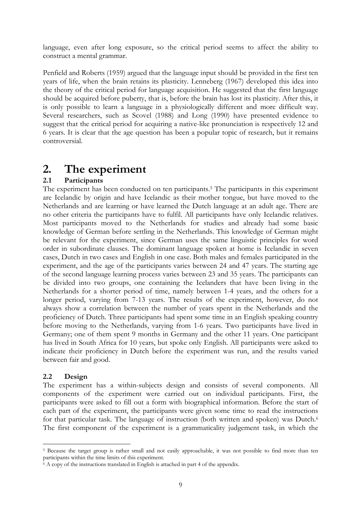language, even after long exposure, so the critical period seems to affect the ability to construct a mental grammar.

Penfield and Roberts (1959) argued that the language input should be provided in the first ten years of life, when the brain retains its plasticity. Lenneberg (1967) developed this idea into the theory of the critical period for language acquisition. He suggested that the first language should be acquired before puberty, that is, before the brain has lost its plasticity. After this, it is only possible to learn a language in a physiologically different and more difficult way. Several researchers, such as Scovel (1988) and Long (1990) have presented evidence to suggest that the critical period for acquiring a native-like pronunciation is respectively 12 and 6 years. It is clear that the age question has been a popular topic of research, but it remains controversial.

# 2. The experiment

# 2.1 Participants

The experiment has been conducted on ten participants.<sup>5</sup> The participants in this experiment are Icelandic by origin and have Icelandic as their mother tongue, but have moved to the Netherlands and are learning or have learned the Dutch language at an adult age. There are no other criteria the participants have to fulfil. All participants have only Icelandic relatives. Most participants moved to the Netherlands for studies and already had some basic knowledge of German before settling in the Netherlands. This knowledge of German might be relevant for the experiment, since German uses the same linguistic principles for word order in subordinate clauses. The dominant language spoken at home is Icelandic in seven cases, Dutch in two cases and English in one case. Both males and females participated in the experiment, and the age of the participants varies between 24 and 47 years. The starting age of the second language learning process varies between 23 and 35 years. The participants can be divided into two groups, one containing the Icelanders that have been living in the Netherlands for a shorter period of time, namely between 1-4 years, and the others for a longer period, varying from 7-13 years. The results of the experiment, however, do not always show a correlation between the number of years spent in the Netherlands and the proficiency of Dutch. Three participants had spent some time in an English speaking country before moving to the Netherlands, varying from 1-6 years. Two participants have lived in Germany; one of them spent 9 months in Germany and the other 11 years. One participant has lived in South Africa for 10 years, but spoke only English. All participants were asked to indicate their proficiency in Dutch before the experiment was run, and the results varied between fair and good.

# 2.2 Design

 $\overline{a}$ 

The experiment has a within-subjects design and consists of several components. All components of the experiment were carried out on individual participants. First, the participants were asked to fill out a form with biographical information. Before the start of each part of the experiment, the participants were given some time to read the instructions for that particular task. The language of instruction (both written and spoken) was Dutch.<sup>6</sup> The first component of the experiment is a grammaticality judgement task, in which the

<sup>5</sup> Because the target group is rather small and not easily approachable, it was not possible to find more than ten participants within the time limits of this experiment.

<sup>6</sup> A copy of the instructions translated in English is attached in part 4 of the appendix.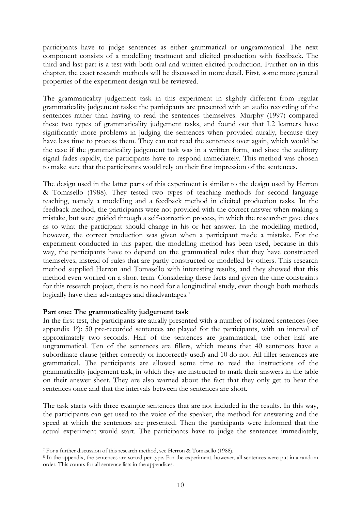participants have to judge sentences as either grammatical or ungrammatical. The next component consists of a modelling treatment and elicited production with feedback. The third and last part is a test with both oral and written elicited production. Further on in this chapter, the exact research methods will be discussed in more detail. First, some more general properties of the experiment design will be reviewed.

The grammaticality judgement task in this experiment in slightly different from regular grammaticality judgement tasks: the participants are presented with an audio recording of the sentences rather than having to read the sentences themselves. Murphy (1997) compared these two types of grammaticality judgement tasks, and found out that L2 learners have significantly more problems in judging the sentences when provided aurally, because they have less time to process them. They can not read the sentences over again, which would be the case if the grammaticality judgement task was in a written form, and since the auditory signal fades rapidly, the participants have to respond immediately. This method was chosen to make sure that the participants would rely on their first impression of the sentences.

The design used in the latter parts of this experiment is similar to the design used by Herron & Tomasello (1988). They tested two types of teaching methods for second language teaching, namely a modelling and a feedback method in elicited production tasks. In the feedback method, the participants were not provided with the correct answer when making a mistake, but were guided through a self-correction process, in which the researcher gave clues as to what the participant should change in his or her answer. In the modelling method, however, the correct production was given when a participant made a mistake. For the experiment conducted in this paper, the modelling method has been used, because in this way, the participants have to depend on the grammatical rules that they have constructed themselves, instead of rules that are partly constructed or modelled by others. This research method supplied Herron and Tomasello with interesting results, and they showed that this method even worked on a short term. Considering these facts and given the time constraints for this research project, there is no need for a longitudinal study, even though both methods logically have their advantages and disadvantages.<sup>7</sup>

### Part one: The grammaticality judgement task

In the first test, the participants are aurally presented with a number of isolated sentences (see appendix 1<sup>8</sup> ): 50 pre-recorded sentences are played for the participants, with an interval of approximately two seconds. Half of the sentences are grammatical, the other half are ungrammatical. Ten of the sentences are fillers, which means that 40 sentences have a subordinate clause (either correctly or incorrectly used) and 10 do not. All filler sentences are grammatical. The participants are allowed some time to read the instructions of the grammaticality judgement task, in which they are instructed to mark their answers in the table on their answer sheet. They are also warned about the fact that they only get to hear the sentences once and that the intervals between the sentences are short.

The task starts with three example sentences that are not included in the results. In this way, the participants can get used to the voice of the speaker, the method for answering and the speed at which the sentences are presented. Then the participants were informed that the actual experiment would start. The participants have to judge the sentences immediately,

 $\overline{a}$ 

<sup>7</sup> For a further discussion of this research method, see Herron & Tomasello (1988).

<sup>8</sup> In the appendix, the sentences are sorted per type. For the experiment, however, all sentences were put in a random order. This counts for all sentence lists in the appendices.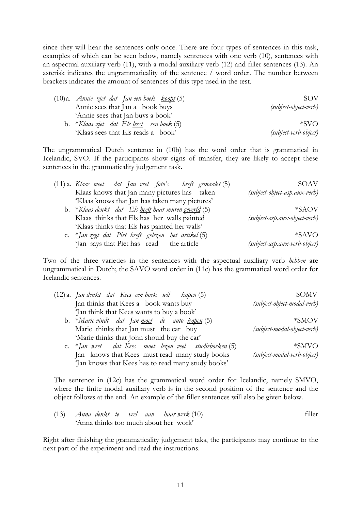since they will hear the sentences only once. There are four types of sentences in this task, examples of which can be seen below, namely sentences with one verb (10), sentences with an aspectual auxiliary verb (11), with a modal auxiliary verb (12) and filler sentences (13). An asterisk indicates the ungrammaticality of the sentence / word order. The number between brackets indicates the amount of sentences of this type used in the test.

| (10)a. <i>Annie ziet dat Jan een boek <u>koopt</u></i> (5) | <b>SOV</b>            |
|------------------------------------------------------------|-----------------------|
| Annie sees that Jan a book buys                            | (subject-object-verb) |
| 'Annie sees that Jan buys a book'                          |                       |
| b. *Klaas ziet dat Els <u>leest</u> een boek (5)           | $*SVO$                |
| 'Klaas sees that Els reads a book'                         | (subject-verb-object) |

The ungrammatical Dutch sentence in (10b) has the word order that is grammatical in Icelandic, SVO. If the participants show signs of transfer, they are likely to accept these sentences in the grammaticality judgement task.

| (11) a. Klaas weet dat Jan veel foto's <u>heeft gemaakt</u> (5)    | SOAV                            |
|--------------------------------------------------------------------|---------------------------------|
| Klaas knows that Jan many pictures has taken                       | (subject-object-asp.aux-verb)   |
| 'Klaas knows that Jan has taken many pictures'                     |                                 |
| b. *Klaas denkt dat Els <u>heeft</u> haar muren <u>geverfd</u> (5) | $*SAOV$                         |
| Klaas thinks that Els has her walls painted                        | $(subject-asp.aux-object-verb)$ |
| 'Klaas thinks that Els has painted her walls'                      |                                 |
| c. $*$ Jan zegt dat Piet <u>heeft gelezen</u> het artikel (5)      | *SAVO                           |
| 'Jan says that Piet has read the article                           | (subject-asp.aux-verb-object)   |

Two of the three varieties in the sentences with the aspectual auxiliary verb *hebben* are ungrammatical in Dutch; the SAVO word order in (11c) has the grammatical word order for Icelandic sentences.

| (12) a. J <i>an denkt dat Kees een boek <u>wil kopen</u> (</i> 5) | SOMV                        |
|-------------------------------------------------------------------|-----------------------------|
| Jan thinks that Kees a book wants buy                             | (subject-object-modal-verb) |
| 'Jan think that Kees wants to buy a book'                         |                             |
| b. *Marie vindt dat Jan <u>moet</u> de auto <u>kopen</u> (5)      | *SMOV                       |
| Marie thinks that Jan must the car buy                            | (subject-modal-object-verb) |
| 'Marie thinks that John should buy the car'                       |                             |
| c. *Jan weet dat Kees <u>moet lezen</u> veel studieboeken (5)     | $*SMVO$                     |
| Jan knows that Kees must read many study books                    | (subject-modal-verb-object) |
| 'Jan knows that Kees has to read many study books'                |                             |

The sentence in (12c) has the grammatical word order for Icelandic, namely SMVO, where the finite modal auxiliary verb is in the second position of the sentence and the object follows at the end. An example of the filler sentences will also be given below.

|  |                                       |  |  | $(13)$ Anna denkt te veel aan haarwerk $(10)$ | filler |
|--|---------------------------------------|--|--|-----------------------------------------------|--------|
|  | 'Anna thinks too much about her work' |  |  |                                               |        |

Right after finishing the grammaticality judgement taks, the participants may continue to the next part of the experiment and read the instructions.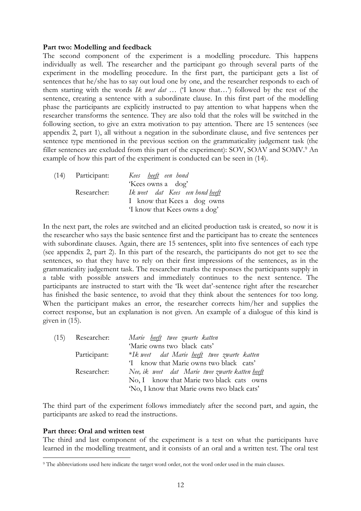#### Part two: Modelling and feedback

The second component of the experiment is a modelling procedure. This happens individually as well. The researcher and the participant go through several parts of the experiment in the modelling procedure. In the first part, the participant gets a list of sentences that he/she has to say out loud one by one, and the researcher responds to each of them starting with the words Ik weet dat ... (T know that...) followed by the rest of the sentence, creating a sentence with a subordinate clause. In this first part of the modelling phase the participants are explicitly instructed to pay attention to what happens when the researcher transforms the sentence. They are also told that the roles will be switched in the following section, to give an extra motivation to pay attention. There are 15 sentences (see appendix 2, part 1), all without a negation in the subordinate clause, and five sentences per sentence type mentioned in the previous section on the grammaticality judgement task (the filler sentences are excluded from this part of the experiment): SOV, SOAV and SOMV.<sup>9</sup> An example of how this part of the experiment is conducted can be seen in (14).

| (14) | Participant: | Kees <u>heeft</u> een hond             |
|------|--------------|----------------------------------------|
|      |              | 'Kees owns a dog'                      |
|      | Researcher:  | Ik weet dat Kees een hond <u>heeft</u> |
|      |              | I know that Kees a dog owns            |
|      |              | 'I know that Kees owns a dog'          |

In the next part, the roles are switched and an elicited production task is created, so now it is the researcher who says the basic sentence first and the participant has to create the sentences with subordinate clauses. Again, there are 15 sentences, split into five sentences of each type (see appendix 2, part 2). In this part of the research, the participants do not get to see the sentences, so that they have to rely on their first impressions of the sentences, as in the grammaticality judgement task. The researcher marks the responses the participants supply in a table with possible answers and immediately continues to the next sentence. The participants are instructed to start with the 'Ik weet dat'-sentence right after the researcher has finished the basic sentence, to avoid that they think about the sentences for too long. When the participant makes an error, the researcher corrects him/her and supplies the correct response, but an explanation is not given. An example of a dialogue of this kind is given in (15).

| (15) | Researcher:  | Marie <u>heeft</u> twee zwarte katten              |
|------|--------------|----------------------------------------------------|
|      |              | 'Marie owns two black cats'                        |
|      | Participant: | *Ik weet dat Marie <u>heeft</u> twee zwarte katten |
|      |              | 'I know that Marie owns two black cats'            |
|      | Researcher:  | Nee, ik weet dat Marie twee zwarte katten heeft    |
|      |              | No, I know that Marie two black cats owns          |
|      |              | 'No, I know that Marie owns two black cats'        |

The third part of the experiment follows immediately after the second part, and again, the participants are asked to read the instructions.

### Part three: Oral and written test

The third and last component of the experiment is a test on what the participants have learned in the modelling treatment, and it consists of an oral and a written test. The oral test  $\overline{a}$ 

<sup>9</sup> The abbreviations used here indicate the target word order, not the word order used in the main clauses.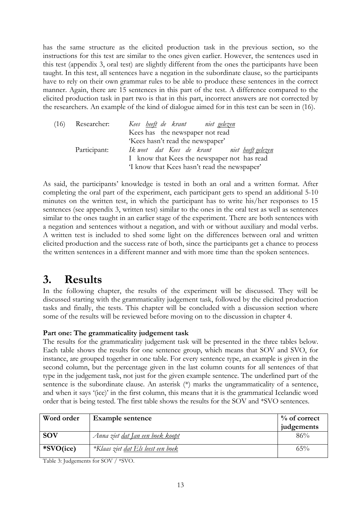has the same structure as the elicited production task in the previous section, so the instructions for this test are similar to the ones given earlier. However, the sentences used in this test (appendix 3, oral test) are slightly different from the ones the participants have been taught. In this test, all sentences have a negation in the subordinate clause, so the participants have to rely on their own grammar rules to be able to produce these sentences in the correct manner. Again, there are 15 sentences in this part of the test. A difference compared to the elicited production task in part two is that in this part, incorrect answers are not corrected by the researchers. An example of the kind of dialogue aimed for in this test can be seen in (16).

| (16) | Researcher:  | Kees <u>heeft</u> de krant niet <u>gelezen</u>     |
|------|--------------|----------------------------------------------------|
|      |              | Kees has the newspaper not read                    |
|      |              | 'Kees hasn't read the newspaper'                   |
|      | Participant: | Ik weet dat Kees de krant niet <u>heeftgelezen</u> |
|      |              | I know that Kees the newspaper not has read        |
|      |              | 'I know that Kees hasn't read the newspaper'       |

As said, the participants' knowledge is tested in both an oral and a written format. After completing the oral part of the experiment, each participant gets to spend an additional 5-10 minutes on the written test, in which the participant has to write his/her responses to 15 sentences (see appendix 3, written test) similar to the ones in the oral test as well as sentences similar to the ones taught in an earlier stage of the experiment. There are both sentences with a negation and sentences without a negation, and with or without auxiliary and modal verbs. A written test is included to shed some light on the differences between oral and written elicited production and the success rate of both, since the participants get a chance to process the written sentences in a different manner and with more time than the spoken sentences.

# 3. Results

In the following chapter, the results of the experiment will be discussed. They will be discussed starting with the grammaticality judgement task, followed by the elicited production tasks and finally, the tests. This chapter will be concluded with a discussion section where some of the results will be reviewed before moving on to the discussion in chapter 4.

# Part one: The grammaticality judgement task

The results for the grammaticality judgement task will be presented in the three tables below. Each table shows the results for one sentence group, which means that SOV and SVO, for instance, are grouped together in one table. For every sentence type, an example is given in the second column, but the percentage given in the last column counts for all sentences of that type in the judgement task, not just for the given example sentence. The underlined part of the sentence is the subordinate clause. An asterisk (\*) marks the ungrammaticality of a sentence, and when it says '(ice)' in the first column, this means that it is the grammatical Icelandic word order that is being tested. The first table shows the results for the SOV and \*SVO sentences.

| Word order | <b>Example sentence</b>                 | $\%$ of correct |
|------------|-----------------------------------------|-----------------|
|            |                                         | judgements      |
| <b>SOV</b> | Anna ziet <u>dat Jan een boek koopt</u> | 86%             |
| *SVO(ice)  | *Klaas ziet dat Els leest een boek      | 65%             |

Table 3: Judgements for SOV / \*SVO.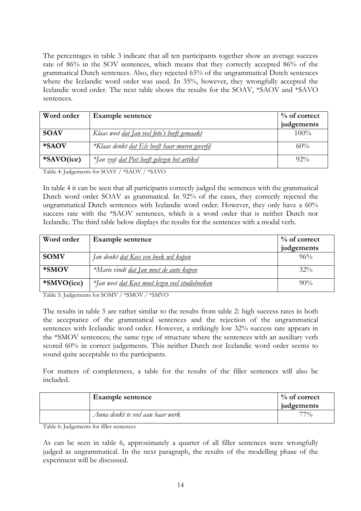The percentages in table 3 indicate that all ten participants together show an average success rate of 86% in the SOV sentences, which means that they correctly accepted 86% of the grammatical Dutch sentences. Also, they rejected 65% of the ungrammatical Dutch sentences where the Icelandic word order was used. In 35%, however, they wrongfully accepted the Icelandic word order. The next table shows the results for the SOAV, \*SAOV and \*SAVO sentences.

| Word order  | <b>Example sentence</b>                              | $\%$ of correct |
|-------------|------------------------------------------------------|-----------------|
|             |                                                      | judgements      |
| <b>SOAV</b> | Klaas weet <u>dat Jan veel foto's heeft gemaakt</u>  | $100\%$         |
| *SAOV       | *Klaas denkt <u>dat Els heeft haar muren geverfd</u> | 60%             |
| *SAVO(ice)  | *Jan zegt <u>dat Piet heeft gelezen het artikel</u>  | $92\%$          |

Table 4: Judgements for SOAV / \*SAOV / \*SAVO

In table 4 it can be seen that all participants correctly judged the sentences with the grammatical Dutch word order SOAV as grammatical. In 92% of the cases, they correctly rejected the ungrammatical Dutch sentences with Icelandic word order. However, they only have a 60% success rate with the \*SAOV sentences, which is a word order that is neither Dutch nor Icelandic. The third table below displays the results for the sentences with a modal verb.

| Word order  | <b>Example sentence</b>                                | $\%$ of correct<br>judgements |
|-------------|--------------------------------------------------------|-------------------------------|
|             |                                                        |                               |
| <b>SOMV</b> | Jan denkt <u>dat Kees een boek wil kopen</u>           | $96\%$                        |
| *SMOV       | *Marie vindt dat Jan moet de auto kopen                | $32\%$                        |
| *SMVO(ice)  | *Jan weet <u>dat Kees moet lezen veel studieboeken</u> | $90\%$                        |

Table 5: Judgements for SOMV / \*SMOV / \*SMVO

The results in table 5 are rather similar to the results from table 2: high success rates in both the acceptance of the grammatical sentences and the rejection of the ungrammatical sentences with Icelandic word order. However, a strikingly low 32% success rate appears in the \*SMOV sentences; the same type of structure where the sentences with an auxiliary verb scored 60% in correct judgements. This neither Dutch nor Icelandic word order seems to sound quite acceptable to the participants.

For matters of completeness, a table for the results of the filler sentences will also be included.

| <b>Example sentence</b>          | $\%$ of correct<br>judgements |
|----------------------------------|-------------------------------|
| Anna denkt te veel aan haar werk | $77\%$                        |

Table 6: Judgements for filler sentences

As can be seen in table 6, approximately a quarter of all filler sentences were wrongfully judged as ungrammatical. In the next paragraph, the results of the modelling phase of the experiment will be discussed.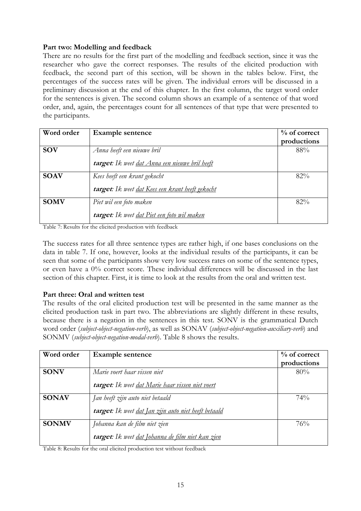# Part two: Modelling and feedback

There are no results for the first part of the modelling and feedback section, since it was the researcher who gave the correct responses. The results of the elicited production with feedback, the second part of this section, will be shown in the tables below. First, the percentages of the success rates will be given. The individual errors will be discussed in a preliminary discussion at the end of this chapter. In the first column, the target word order for the sentences is given. The second column shows an example of a sentence of that word order, and, again, the percentages count for all sentences of that type that were presented to the participants.

| Word order  | <b>Example sentence</b>                          | $\%$ of correct |
|-------------|--------------------------------------------------|-----------------|
|             |                                                  | productions     |
| <b>SOV</b>  | Anna heeft een nieuwe bril                       | 88%             |
|             | target: Ik weet dat Anna een nieuwe bril heeft   |                 |
| <b>SOAV</b> | Kees heeft een krant gekocht                     | 82%             |
|             | target: Ik weet dat Kees een krant heeft gekocht |                 |
| <b>SOMV</b> | Piet wil een foto maken                          | $82\%$          |
|             | target: Ik weet dat Piet een foto wil maken      |                 |

Table 7: Results for the elicited production with feedback

The success rates for all three sentence types are rather high, if one bases conclusions on the data in table 7. If one, however, looks at the individual results of the participants, it can be seen that some of the participants show very low success rates on some of the sentence types, or even have a 0% correct score. These individual differences will be discussed in the last section of this chapter. First, it is time to look at the results from the oral and written test.

# Part three: Oral and written test

The results of the oral elicited production test will be presented in the same manner as the elicited production task in part two. The abbreviations are slightly different in these results, because there is a negation in the sentences in this test. SONV is the grammatical Dutch word order (subject-object-negation-verb), as well as SONAV (subject-object-negation-auxiliary-verb) and SONMV (subject-object-negation-modal-verb). Table 8 shows the results.

| Word order   | <b>Example sentence</b>                              | $\%$ of correct<br>productions |
|--------------|------------------------------------------------------|--------------------------------|
| <b>SONV</b>  | Marie voert haar vissen niet                         | 80%                            |
|              | target: Ik weet dat Marie haar vissen niet voert     |                                |
| <b>SONAV</b> | Jan heeft zijn auto niet betaald                     | 74%                            |
|              | target: Ik weet dat Jan zijn auto niet heeft betaald |                                |
| <b>SONMV</b> | Johanna kan de film niet zien                        | 76%                            |
|              | target: Ik weet dat Johanna de film niet kan zien    |                                |

Table 8: Results for the oral elicited production test without feedback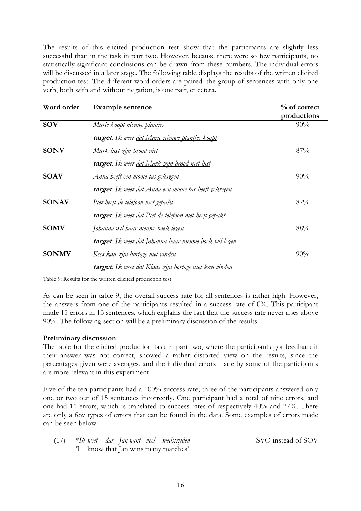The results of this elicited production test show that the participants are slightly less successful than in the task in part two. However, because there were so few participants, no statistically significant conclusions can be drawn from these numbers. The individual errors will be discussed in a later stage. The following table displays the results of the written elicited production test. The different word orders are paired: the group of sentences with only one verb, both with and without negation, is one pair, et cetera.

| Word order   | <b>Example sentence</b>                                | $%$ of correct<br>productions |
|--------------|--------------------------------------------------------|-------------------------------|
| <b>SOV</b>   | Marie koopt nieuwe plantjes                            | 90%                           |
|              | target: Ik weet dat Marie nieuwe plantjes koopt        |                               |
| <b>SONV</b>  | Mark lust zijn brood niet                              | 87%                           |
|              | target: Ik weet <u>dat Mark zijn brood niet lust</u>   |                               |
| <b>SOAV</b>  | Anna heeft een mooie tas gekregen                      | 90%                           |
|              | target: Ik weet dat Anna een mooie tas heeft gekregen  |                               |
| <b>SONAV</b> | Piet heeft de telefoon niet gepakt                     | 87%                           |
|              | target: Ik weet dat Piet de telefoon niet heeft gepakt |                               |
| <b>SOMV</b>  | Johanna wil haar nieuwe boek lezen                     | 88%                           |
|              | target: Ik weet dat Johanna haar nieuwe boek wil lezen |                               |
| <b>SONMV</b> | Kees kan zijn horloge niet vinden                      | 90%                           |
|              | target: Ik weet dat Klaas zijn horloge niet kan vinden |                               |

Table 9: Results for the written elicited production test

As can be seen in table 9, the overall success rate for all sentences is rather high. However, the answers from one of the participants resulted in a success rate of 0%. This participant made 15 errors in 15 sentences, which explains the fact that the success rate never rises above 90%. The following section will be a preliminary discussion of the results.

### Preliminary discussion

The table for the elicited production task in part two, where the participants got feedback if their answer was not correct, showed a rather distorted view on the results, since the percentages given were averages, and the individual errors made by some of the participants are more relevant in this experiment.

Five of the ten participants had a 100% success rate; three of the participants answered only one or two out of 15 sentences incorrectly. One participant had a total of nine errors, and one had 11 errors, which is translated to success rates of respectively 40% and 27%. There are only a few types of errors that can be found in the data. Some examples of errors made can be seen below.

|  |  |  | (17) *Ik weet dat Jan <u>wint</u> veel wedstrijden | SVO instead of SOV |
|--|--|--|----------------------------------------------------|--------------------|
|  |  |  | I know that Jan wins many matches'                 |                    |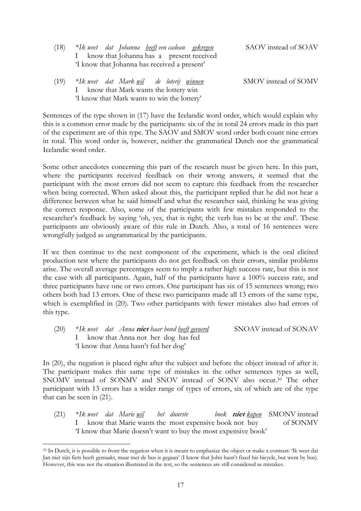| (18) | *Ik weet dat Johanna <u>heeft</u> eencadeau <u>gekregen</u><br>I know that Johanna has a present received<br>'I know that Johanna has received a present' | SAOV instead of SOAV |
|------|-----------------------------------------------------------------------------------------------------------------------------------------------------------|----------------------|
| (19) | *Ik weet dat Mark- <u>wil</u> de loterij <u>winnen</u>                                                                                                    | SMOV instead of SOMV |

Sentences of the type shown in (17) have the Icelandic word order, which would explain why this is a common error made by the participants: six of the in total 24 errors made in this part of the experiment are of this type. The SAOV and SMOV word order both count nine errors in total. This word order is, however, neither the grammatical Dutch nor the grammatical Icelandic word order.

I know that Mark wants the lottery win 'I know that Mark wants to win the lottery'

Some other anecdotes concerning this part of the research must be given here. In this part, where the participants received feedback on their wrong answers, it seemed that the participant with the most errors did not seem to capture this feedback from the researcher when being corrected. When asked about this, the participant replied that he did not hear a difference between what he said himself and what the researcher said, thinking he was giving the correct response. Also, some of the participants with few mistakes responded to the researcher's feedback by saying 'oh, yes, that is right; the verb has to be at the end'. These participants are obviously aware of this rule in Dutch. Also, a total of 16 sentences were wrongfully judged as ungrammatical by the participants.

If we then continue to the next component of the experiment, which is the oral elicited production test where the participants do not get feedback on their errors, similar problems arise. The overall average percentages seem to imply a rather high success rate, but this is not the case with all participants. Again, half of the participants have a 100% success rate, and three participants have one or two errors. One participant has six of 15 sentences wrong; two others both had 13 errors. One of these two participants made all 13 errors of the same type, which is exemplified in (20). Two other participants with fewer mistakes also had errors of this type.

(20) \*Ik weet dat Anna niet haar hond heeft gevoerd SNOAV instead of SONAV know that Anna not her dog has fed 'I know that Anna hasn't fed her dog'

In (20), the negation is placed right after the subject and before the object instead of after it. The participant makes this same type of mistakes in the other sentences types as well, SNOMV instead of SONMV and SNOV instead of SONV also occur.10 The other participant with 13 errors has a wider range of types of errors, six of which are of the type that can be seen in (21).

(21)  $*Ik$  weet dat Marie wil het duurste boek **niet** kopen SMONV instead I know that Marie wants the most expensive book not buy of SONMV 'I know that Marie doesn't want to buy the most expensive book'

 $\overline{a}$ 

<sup>10</sup> In Dutch, it is possible to front the negation when it is meant to emphasize the object or make a contrast: 'Ik weet dat Jan niet zijn fiets heeft gemaakt, maar met de bus is gegaan' (I know that John hasn't fixed his bicycle, but went by bus). However, this was not the situation illustrated in the test, so the sentences are still considered as mistakes.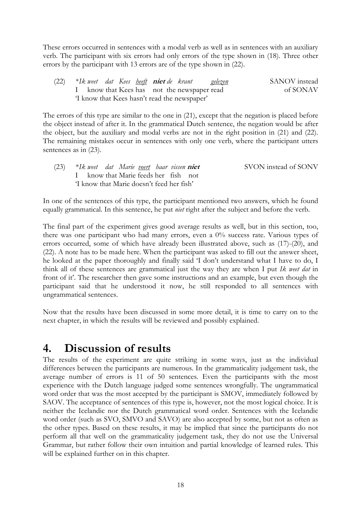These errors occurred in sentences with a modal verb as well as in sentences with an auxiliary verb. The participant with six errors had only errors of the type shown in (18). Three other errors by the participant with 13 errors are of the type shown in (22).

(22) \*Ik weet dat Kees <u>heeft</u> **niet** de krant gelezen SANOV instead know that Kees has not the newspaper read of SONAV 'I know that Kees hasn't read the newspaper'

The errors of this type are similar to the one in (21), except that the negation is placed before the object instead of after it. In the grammatical Dutch sentence, the negation would be after the object, but the auxiliary and modal verbs are not in the right position in (21) and (22). The remaining mistakes occur in sentences with only one verb, where the participant utters sentences as in (23).

| (23) | *Ik weet dat Marie <u>voert</u> haar vissen <b>niet</b> |  | SVON instead of SONV |
|------|---------------------------------------------------------|--|----------------------|
|      | I know that Marie feeds her fish not                    |  |                      |
|      | 'I know that Marie doesn't feed her fish'               |  |                      |

In one of the sentences of this type, the participant mentioned two answers, which he found equally grammatical. In this sentence, he put *niet* right after the subject and before the verb.

The final part of the experiment gives good average results as well, but in this section, too, there was one participant who had many errors, even a 0% success rate. Various types of errors occurred, some of which have already been illustrated above, such as (17)-(20), and (22). A note has to be made here. When the participant was asked to fill out the answer sheet, he looked at the paper thoroughly and finally said 'I don't understand what I have to do, I think all of these sentences are grammatical just the way they are when I put Ik weet dat in front of it'. The researcher then gave some instructions and an example, but even though the participant said that he understood it now, he still responded to all sentences with ungrammatical sentences.

Now that the results have been discussed in some more detail, it is time to carry on to the next chapter, in which the results will be reviewed and possibly explained.

# 4. Discussion of results

The results of the experiment are quite striking in some ways, just as the individual differences between the participants are numerous. In the grammaticality judgement task, the average number of errors is 11 of 50 sentences. Even the participants with the most experience with the Dutch language judged some sentences wrongfully. The ungrammatical word order that was the most accepted by the participant is SMOV, immediately followed by SAOV. The acceptance of sentences of this type is, however, not the most logical choice. It is neither the Icelandic nor the Dutch grammatical word order. Sentences with the Icelandic word order (such as SVO, SMVO and SAVO) are also accepted by some, but not as often as the other types. Based on these results, it may be implied that since the participants do not perform all that well on the grammaticality judgement task, they do not use the Universal Grammar, but rather follow their own intuition and partial knowledge of learned rules. This will be explained further on in this chapter.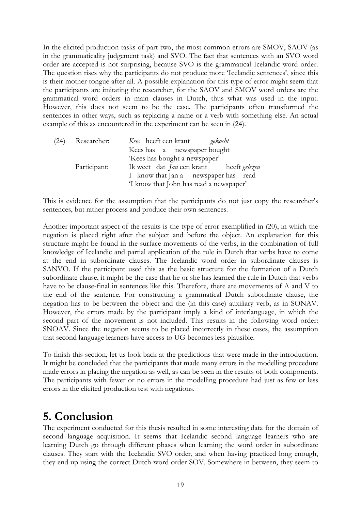In the elicited production tasks of part two, the most common errors are SMOV, SAOV (as in the grammaticality judgement task) and SVO. The fact that sentences with an SVO word order are accepted is not surprising, because SVO is the grammatical Icelandic word order. The question rises why the participants do not produce more 'Icelandic sentences', since this is their mother tongue after all. A possible explanation for this type of error might seem that the participants are imitating the researcher, for the SAOV and SMOV word orders are the grammatical word orders in main clauses in Dutch, thus what was used in the input. However, this does not seem to be the case. The participants often transformed the sentences in other ways, such as replacing a name or a verb with something else. An actual example of this as encountered in the experiment can be seen in (24).

| (24) | Researcher:  | <i>Kees</i> heeft een krant<br>gekocht         |
|------|--------------|------------------------------------------------|
|      |              | Kees has a newspaper bought                    |
|      |              | 'Kees has bought a newspaper'                  |
|      | Participant: | Ik weet dat <i>Jan</i> een krant heeft gelezen |
|      |              | I know that Jan a newspaper has read           |
|      |              | 'I know that John has read a newspaper'        |

This is evidence for the assumption that the participants do not just copy the researcher's sentences, but rather process and produce their own sentences.

Another important aspect of the results is the type of error exemplified in (20), in which the negation is placed right after the subject and before the object. An explanation for this structure might be found in the surface movements of the verbs, in the combination of full knowledge of Icelandic and partial application of the rule in Dutch that verbs have to come at the end in subordinate clauses. The Icelandic word order in subordinate clauses is SANVO. If the participant used this as the basic structure for the formation of a Dutch subordinate clause, it might be the case that he or she has learned the rule in Dutch that verbs have to be clause-final in sentences like this. Therefore, there are movements of A and V to the end of the sentence. For constructing a grammatical Dutch subordinate clause, the negation has to be between the object and the (in this case) auxiliary verb, as in SONAV. However, the errors made by the participant imply a kind of interlanguage, in which the second part of the movement is not included. This results in the following word order: SNOAV. Since the negation seems to be placed incorrectly in these cases, the assumption that second language learners have access to UG becomes less plausible.

To finish this section, let us look back at the predictions that were made in the introduction. It might be concluded that the participants that made many errors in the modelling procedure made errors in placing the negation as well, as can be seen in the results of both components. The participants with fewer or no errors in the modelling procedure had just as few or less errors in the elicited production test with negations.

# 5. Conclusion

The experiment conducted for this thesis resulted in some interesting data for the domain of second language acquisition. It seems that Icelandic second language learners who are learning Dutch go through different phases when learning the word order in subordinate clauses. They start with the Icelandic SVO order, and when having practiced long enough, they end up using the correct Dutch word order SOV. Somewhere in between, they seem to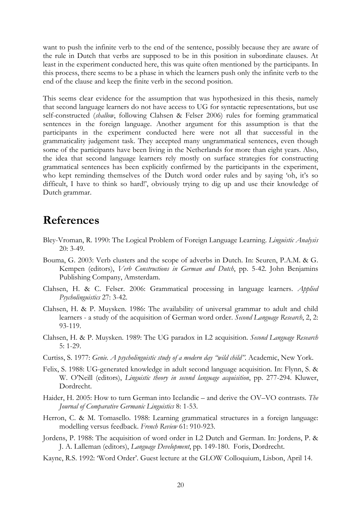want to push the infinite verb to the end of the sentence, possibly because they are aware of the rule in Dutch that verbs are supposed to be in this position in subordinate clauses. At least in the experiment conducted here, this was quite often mentioned by the participants. In this process, there seems to be a phase in which the learners push only the infinite verb to the end of the clause and keep the finite verb in the second position.

This seems clear evidence for the assumption that was hypothesized in this thesis, namely that second language learners do not have access to UG for syntactic representations, but use self-constructed (shallow, following Clahsen & Felser 2006) rules for forming grammatical sentences in the foreign language. Another argument for this assumption is that the participants in the experiment conducted here were not all that successful in the grammaticality judgement task. They accepted many ungrammatical sentences, even though some of the participants have been living in the Netherlands for more than eight years. Also, the idea that second language learners rely mostly on surface strategies for constructing grammatical sentences has been explicitly confirmed by the participants in the experiment, who kept reminding themselves of the Dutch word order rules and by saying 'oh, it's so difficult, I have to think so hard!', obviously trying to dig up and use their knowledge of Dutch grammar.

# References

- Bley-Vroman, R. 1990: The Logical Problem of Foreign Language Learning. Linguistic Analysis 20: 3-49.
- Bouma, G. 2003: Verb clusters and the scope of adverbs in Dutch. In: Seuren, P.A.M. & G. Kempen (editors), Verb Constructions in German and Dutch, pp. 5-42. John Benjamins Publishing Company, Amsterdam.
- Clahsen, H. & C. Felser. 2006: Grammatical processing in language learners. Applied Psycholinguistics 27: 3-42.
- Clahsen, H. & P. Muysken. 1986: The availability of universal grammar to adult and child learners - a study of the acquisition of German word order. Second Language Research, 2, 2: 93-119.
- Clahsen, H. & P. Muysken. 1989: The UG paradox in L2 acquisition. Second Language Research 5: 1-29.
- Curtiss, S. 1977: Genie. A psycholinguistic study of a modern day "wild child". Academic, New York.
- Felix, S. 1988: UG-generated knowledge in adult second language acquisition. In: Flynn, S. & W. O'Neill (editors), *Linguistic theory in second language acquisition*, pp. 277-294. Kluwer, Dordrecht.
- Haider, H. 2005: How to turn German into Icelandic and derive the OV–VO contrasts. The Journal of Comparative Germanic Linguistics 8: 1-53.
- Herron, C. & M. Tomasello. 1988: Learning grammatical structures in a foreign language: modelling versus feedback. French Review 61: 910-923.
- Jordens, P. 1988: The acquisition of word order in L2 Dutch and German. In: Jordens, P. & J. A. Lalleman (editors), Language Development, pp. 149-180. Foris, Dordrecht.
- Kayne, R.S. 1992: 'Word Order'. Guest lecture at the GLOW Colloquium, Lisbon, April 14.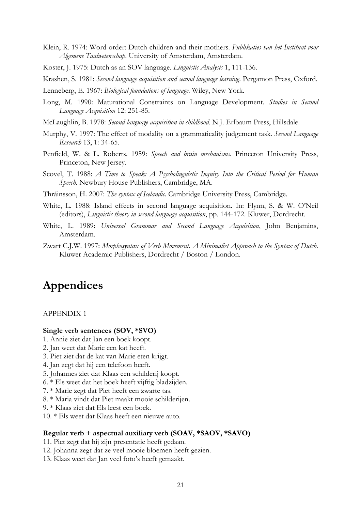- Klein, R. 1974: Word order: Dutch children and their mothers. Publikaties van het Instituut voor Algemene Taalwetenschap. University of Amsterdam, Amsterdam.
- Koster, J. 1975: Dutch as an SOV language. Linguistic Analysis 1, 111-136.
- Krashen, S. 1981: Second language acquisition and second language learning. Pergamon Press, Oxford.
- Lenneberg, E. 1967: Biological foundations of language. Wiley, New York.
- Long, M. 1990: Maturational Constraints on Language Development. *Studies in Second* Language Acquisition 12: 251-85.
- McLaughlin, B. 1978: Second language acquisition in childhood. N.J. Erlbaum Press, Hillsdale.
- Murphy, V. 1997: The effect of modality on a grammaticality judgement task. Second Language Research 13, 1: 34-65.
- Penfield, W. & L. Roberts. 1959: Speech and brain mechanisms. Princeton University Press, Princeton, New Jersey.
- Scovel, T. 1988: A Time to Speak: A Psycholinguistic Inquiry Into the Critical Period for Human Speech. Newbury House Publishers, Cambridge, MA.
- Thráinsson, H. 2007: The syntax of Icelandic. Cambridge University Press, Cambridge.
- White, L. 1988: Island effects in second language acquisition. In: Flynn, S. & W. O'Neil (editors), Linguistic theory in second language acquisition, pp. 144-172. Kluwer, Dordrecht.
- White, L. 1989: Universal Grammar and Second Language Acquisition, John Benjamins, Amsterdam.
- Zwart C.J.W. 1997: Morphosyntax of Verb Movement. A Minimalist Approach to the Syntax of Dutch. Kluwer Academic Publishers, Dordrecht / Boston / London.

# Appendices

#### APPENDIX 1

### Single verb sentences (SOV, \*SVO)

- 1. Annie ziet dat Jan een boek koopt.
- 2. Jan weet dat Marie een kat heeft.
- 3. Piet ziet dat de kat van Marie eten krijgt.
- 4. Jan zegt dat hij een telefoon heeft.
- 5. Johannes ziet dat Klaas een schilderij koopt.
- 6. \* Els weet dat het boek heeft vijftig bladzijden.
- 7. \* Marie zegt dat Piet heeft een zwarte tas.
- 8. \* Maria vindt dat Piet maakt mooie schilderijen.
- 9. \* Klaas ziet dat Els leest een boek.
- 10. \* Els weet dat Klaas heeft een nieuwe auto.

#### Regular verb + aspectual auxiliary verb (SOAV, \*SAOV, \*SAVO)

- 11. Piet zegt dat hij zijn presentatie heeft gedaan.
- 12. Johanna zegt dat ze veel mooie bloemen heeft gezien.
- 13. Klaas weet dat Jan veel foto's heeft gemaakt.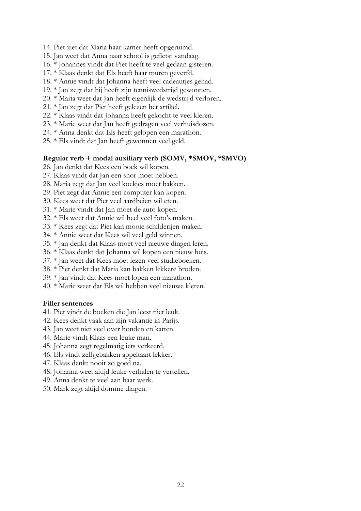- 14. Piet ziet dat Maria haar kamer heeft opgeruimd.
- 15. Jan weet dat Anna naar school is gefietst vandaag.
- 16. \* Johannes vindt dat Piet heeft te veel gedaan gisteren.
- 17. \* Klaas denkt dat Els heeft haar muren geverfd.
- 18. \* Annie vindt dat Johanna heeft veel cadeautjes gehad.
- 19. \* Jan zegt dat hij heeft zijn tenniswedstrijd gewonnen.
- 20. \* Maria weet dat Jan heeft eigenlijk de wedstrijd verloren.
- 21. \* Jan zegt dat Piet heeft gelezen het artikel.
- 22. \* Klaas vindt dat Johanna heeft gekocht te veel kleren.
- 23. \* Marie weet dat Jan heeft gedragen veel verhuisdozen.
- 24. \* Anna denkt dat Els heeft gelopen een marathon.
- 25. \* Els vindt dat Jan heeft gewonnen veel geld.

#### Regular verb + modal auxiliary verb (SOMV, \*SMOV, \*SMVO)

- 26. Jan denkt dat Kees een boek wil kopen.
- 27. Klaas vindt dat Jan een snor moet hebben.
- 28. Maria zegt dat Jan veel koekjes moet bakken.
- 29. Piet zegt dat Annie een computer kan kopen.
- 30. Kees weet dat Piet veel aardbeien wil eten.
- 31. \* Marie vindt dat Jan moet de auto kopen.
- 32. \* Els weet dat Annie wil heel veel foto's maken.
- 33. \* Kees zegt dat Piet kan mooie schilderijen maken.
- 34. \* Annie weet dat Kees wil veel geld winnen.
- 35. \* Jan denkt dat Klaas moet veel nieuwe dingen leren.
- 36. \* Klaas denkt dat Johanna wil kopen een nieuw huis.
- 37. \* Jan weet dat Kees moet lezen veel studieboeken.
- 38. \* Piet denkt dat Maria kan bakken lekkere broden.
- 39. \* Jan vindt dat Kees moet lopen een marathon.
- 40. \* Marie weet dat Els wil hebben veel nieuwe kleren.

### Filler sentences

- 41. Piet vindt de boeken die Jan leest niet leuk.
- 42. Kees denkt vaak aan zijn vakantie in Parijs.
- 43. Jan weet niet veel over honden en katten.
- 44. Marie vindt Klaas een leuke man.
- 45. Johanna zegt regelmatig iets verkeerd.
- 46. Els vindt zelfgebakken appeltaart lekker.
- 47. Klaas denkt nooit zo goed na.
- 48. Johanna weet altijd leuke verhalen te vertellen.
- 49. Anna denkt te veel aan haar werk.
- 50. Mark zegt altijd domme dingen.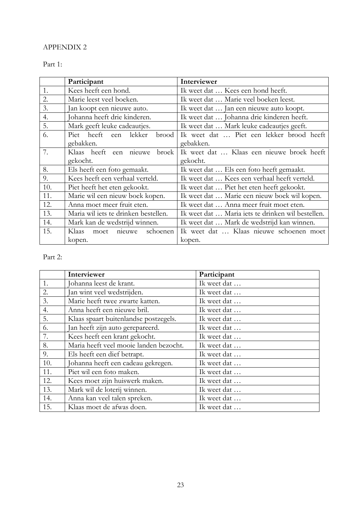# APPENDIX 2

# Part 1:

|     | Participant                                                                               | Interviewer                                  |  |
|-----|-------------------------------------------------------------------------------------------|----------------------------------------------|--|
| 1.  | Kees heeft een hond.                                                                      | Ik weet dat  Kees een hond heeft.            |  |
| 2.  | Marie leest veel boeken.                                                                  | Ik weet dat  Marie veel boeken leest.        |  |
| 3.  | Jan koopt een nieuwe auto.                                                                | Ik weet dat  Jan een nieuwe auto koopt.      |  |
| 4.  | Johanna heeft drie kinderen.                                                              | Ik weet dat  Johanna drie kinderen heeft.    |  |
| 5.  | Mark geeft leuke cadeautjes.                                                              | Ik weet dat  Mark leuke cadeautjes geeft.    |  |
| 6.  | Piet heeft een lekker<br>brood                                                            | Ik weet dat  Piet een lekker brood heeft     |  |
|     | gebakken.                                                                                 | gebakken.                                    |  |
| 7.  | Klaas heeft een<br>broek<br>nieuwe                                                        | Ik weet dat  Klaas een nieuwe broek heeft    |  |
|     | gekocht.                                                                                  | gekocht.                                     |  |
| 8.  | Els heeft een foto gemaakt.                                                               | Ik weet dat  Els een foto heeft gemaakt.     |  |
| 9.  | Kees heeft een verhaal verteld.                                                           | Ik weet dat  Kees een verhaal heeft verteld. |  |
| 10. | Piet heeft het eten gekookt.                                                              | Ik weet dat  Piet het eten heeft gekookt.    |  |
| 11. | Marie wil een nieuw boek kopen.                                                           | Ik weet dat  Marie een nieuw boek wil kopen. |  |
| 12. | Ik weet dat  Anna meer fruit moet eten.<br>Anna moet meer fruit eten.                     |                                              |  |
| 13. | Maria wil iets te drinken bestellen.<br>Ik weet dat  Maria iets te drinken wil bestellen. |                                              |  |
| 14. | Mark kan de wedstrijd winnen.                                                             | Ik weet dat  Mark de wedstrijd kan winnen.   |  |
| 15. | Klaas<br>schoenen<br>nieuwe<br>moet                                                       | Ik weet dat  Klaas nieuwe schoenen moet      |  |
|     | kopen.                                                                                    | kopen.                                       |  |

# Part 2:

|                  | Interviewer                            | Participant |
|------------------|----------------------------------------|-------------|
| 1.               | Johanna leest de krant.                | Ik weet dat |
| 2.               | Jan wint veel wedstrijden.             | Ik weet dat |
| $\overline{3}$ . | Marie heeft twee zwarte katten.        | Ik weet dat |
| 4.               | Anna heeft een nieuwe bril.            | Ik weet dat |
| 5.               | Klaas spaart buitenlandse postzegels.  | Ik weet dat |
| 6.               | Jan heeft zijn auto gerepareerd.       | Ik weet dat |
| 7.               | Kees heeft een krant gekocht.          | Ik weet dat |
| 8.               | Maria heeft veel mooie landen bezocht. | Ik weet dat |
| 9.               | Els heeft een dief betrapt.            | Ik weet dat |
| 10.              | Johanna heeft een cadeau gekregen.     | Ik weet dat |
| 11.              | Piet wil een foto maken.               | Ik weet dat |
| 12.              | Kees moet zijn huiswerk maken.         | Ik weet dat |
| 13.              | Mark wil de loterij winnen.            | Ik weet dat |
| 14.              | Anna kan veel talen spreken.           | Ik weet dat |
| 15.              | Klaas moet de afwas doen.              | Ik weet dat |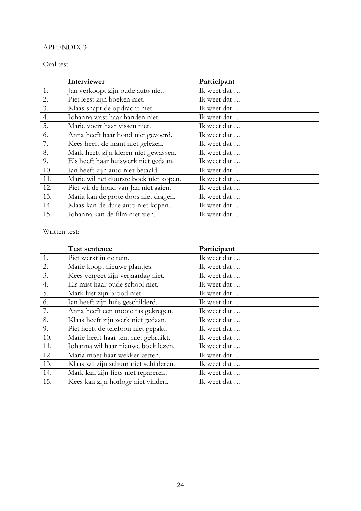## APPENDIX 3

Oral test:

|     | Interviewer                            | Participant |
|-----|----------------------------------------|-------------|
| 1.  | Jan verkoopt zijn oude auto niet.      | Ik weet dat |
| 2.  | Piet leest zijn boeken niet.           | Ik weet dat |
| 3.  | Klaas snapt de opdracht niet.          | Ik weet dat |
| 4.  | Johanna wast haar handen niet.         | Ik weet dat |
| 5.  | Marie voert haar vissen niet.          | Ik weet dat |
| 6.  | Anna heeft haar hond niet gevoerd.     | Ik weet dat |
| 7.  | Kees heeft de krant niet gelezen.      | Ik weet dat |
| 8.  | Mark heeft zijn kleren niet gewassen.  | Ik weet dat |
| 9.  | Els heeft haar huiswerk niet gedaan.   | Ik weet dat |
| 10. | Jan heeft zijn auto niet betaald.      | Ik weet dat |
| 11. | Marie wil het duurste boek niet kopen. | Ik weet dat |
| 12. | Piet wil de hond van Jan niet aaien.   | Ik weet dat |
| 13. | Maria kan de grote doos niet dragen.   | Ik weet dat |
| 14. | Klaas kan de dure auto niet kopen.     | Ik weet dat |
| 15. | Johanna kan de film niet zien.         | Ik weet dat |

Written test:

|     | <b>Test sentence</b>                   | Participant |
|-----|----------------------------------------|-------------|
| 1.  | Piet werkt in de tuin.                 | Ik weet dat |
| 2.  | Marie koopt nieuwe plantjes.           | Ik weet dat |
| 3.  | Kees vergeet zijn verjaardag niet.     | Ik weet dat |
| 4.  | Els mist haar oude school niet.        | Ik weet dat |
| 5.  | Mark lust zijn brood niet.             | Ik weet dat |
| 6.  | Jan heeft zijn huis geschilderd.       | Ik weet dat |
| 7.  | Anna heeft een mooie tas gekregen.     | Ik weet dat |
| 8.  | Klaas heeft zijn werk niet gedaan.     | Ik weet dat |
| 9.  | Piet heeft de telefoon niet gepakt.    | Ik weet dat |
| 10. | Marie heeft haar tent niet gebruikt.   | Ik weet dat |
| 11. | Johanna wil haar nieuwe boek lezen.    | Ik weet dat |
| 12. | Maria moet haar wekker zetten.         | Ik weet dat |
| 13. | Klaas wil zijn schuur niet schilderen. | Ik weet dat |
| 14. | Mark kan zijn fiets niet repareren.    | Ik weet dat |
| 15. | Kees kan zijn horloge niet vinden.     | Ik weet dat |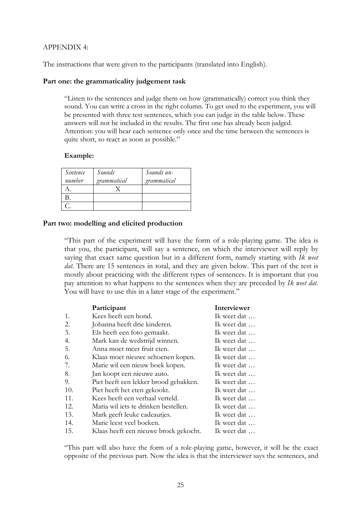## APPENDIX 4:

The instructions that were given to the participants (translated into English).

### Part one: the grammaticality judgement task

"Listen to the sentences and judge them on how (grammatically) correct you think they sound. You can write a cross in the right column. To get used to the experiment, you will be presented with three test sentences, which you can judge in the table below. These answers will not be included in the results. The first one has already been judged. Attention: you will hear each sentence only once and the time between the sentences is quite short, so react as soon as possible."

### Example:

| Sentence<br>number | Sounds<br>grammatical | Sounds un-<br>grammatical |
|--------------------|-----------------------|---------------------------|
|                    |                       |                           |
|                    |                       |                           |
|                    |                       |                           |

### Part two: modelling and elicited production

"This part of the experiment will have the form of a role-playing game. The idea is that you, the participant, will say a sentence, on which the interviewer will reply by saying that exact same question but in a different form, namely starting with Ik weet dat. There are 15 sentences in total, and they are given below. This part of the test is mostly about practicing with the different types of sentences. It is important that you pay attention to what happens to the sentences when they are preceded by Ik weet dat. You will have to use this in a later stage of the experiment."

|     | Participant                           | Interviewer |
|-----|---------------------------------------|-------------|
| 1.  | Kees heeft een hond.                  | Ik weet dat |
| 2.  | Johanna heeft drie kinderen.          | Ik weet dat |
| 3.  | Els heeft een foto gemaakt.           | Ik weet dat |
| 4.  | Mark kan de wedstrijd winnen.         | Ik weet dat |
| 5.  | Anna moet meer fruit eten.            | Ik weet dat |
| 6.  | Klaas moet nieuwe schoenen kopen.     | Ik weet dat |
| 7.  | Marie wil een nieuw boek kopen.       | Ik weet dat |
| 8.  | Jan koopt een nieuwe auto.            | Ik weet dat |
| 9.  | Piet heeft een lekker brood gebakken. | Ik weet dat |
| 10. | Piet heeft het eten gekookt.          | Ik weet dat |
| 11. | Kees heeft een verhaal verteld.       | Ik weet dat |
| 12. | Maria wil iets te drinken bestellen.  | Ik weet dat |
| 13. | Mark geeft leuke cadeautjes.          | Ik weet dat |
| 14. | Marie leest veel boeken.              | Ik weet dat |
| 15. | Klaas heeft een nieuwe broek gekocht. | Ik weet dat |

"This part will also have the form of a role-playing game, however, it will be the exact opposite of the previous part. Now the idea is that the interviewer says the sentences, and